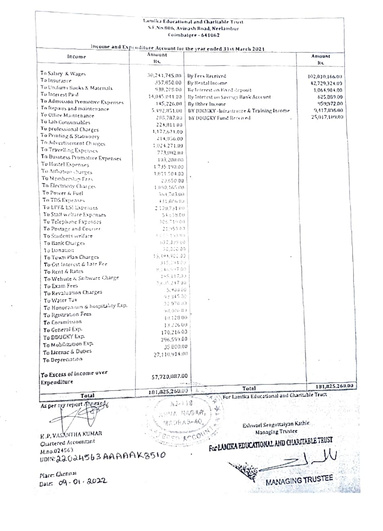|                                                                             |               | Lamika Educational and Charitable Trust     |                |  |  |  |  |
|-----------------------------------------------------------------------------|---------------|---------------------------------------------|----------------|--|--|--|--|
|                                                                             |               | S.F.No.806, Avinash Road, Neelambur         |                |  |  |  |  |
|                                                                             |               | Coimbatore - 641062                         |                |  |  |  |  |
|                                                                             |               |                                             |                |  |  |  |  |
| Income and Expenditure Account for the year ended 31st March 2021<br>Amount |               |                                             |                |  |  |  |  |
| Income                                                                      | Rs.           |                                             | Amount         |  |  |  |  |
|                                                                             |               |                                             | KC             |  |  |  |  |
| To Salary & Wages                                                           | 30,241,745.00 | By Fees iterrited                           | 102,010,166,00 |  |  |  |  |
| To Insurance                                                                | 357,850.00    | By Rental Income                            | 42,729,324.00  |  |  |  |  |
| To Uniform Books & Materials                                                | 938,209.00    | By Interest on Fixed deposit                | 1,064,904.00   |  |  |  |  |
| To Interest Paid                                                            | 14,045,041.00 | By interest on Savings Hank Account         | 625.869.00     |  |  |  |  |
| To Admission Promotive Expenses                                             | 145,226,00    | By lither Income.                           | 959,972.00     |  |  |  |  |
| To Repairs and maintenance                                                  | 5.392.851.00  | BY DDOGKY - Infrastrucce & Training Income. | 9,417,896.00   |  |  |  |  |
| To Office Maintenance                                                       | 288,787.00    | BY DDUGKY Fund Received                     | 25,017,109.00  |  |  |  |  |
| To Lab Consumables                                                          | 224,811.00    |                                             |                |  |  |  |  |
| To professional Charges                                                     | 1,172,621.00  |                                             |                |  |  |  |  |
| To Printing & Statisticry                                                   | 214,056,00    |                                             |                |  |  |  |  |
| To Advertisement Charges                                                    | 1,024,271,00  |                                             |                |  |  |  |  |
| To Travelling Expenses                                                      | 773,082.00    |                                             |                |  |  |  |  |
| To Business Promotive Expenses                                              | 103,200.00    |                                             |                |  |  |  |  |
| To Hastel Expenses                                                          | 1.735.190.00  |                                             |                |  |  |  |  |
| To Athanon Charges                                                          | 1,811,504.00  |                                             |                |  |  |  |  |
| To Membership Fees                                                          | 20.650.00     |                                             |                |  |  |  |  |
| To Electrony Charges                                                        | 1.850.165.00  |                                             |                |  |  |  |  |
| To Power & Fuel                                                             | 364,703,00    |                                             |                |  |  |  |  |
| To TDS Expenses                                                             | 431,806.00    |                                             |                |  |  |  |  |
| To EPF& ESI Expenses                                                        | 2.170.731.00  |                                             |                |  |  |  |  |
| To Staff welfare Expenses                                                   | 54.658.00     |                                             |                |  |  |  |  |
| To Telephone Expenses                                                       | 306719.00     |                                             |                |  |  |  |  |
| To Postage and Courser                                                      | 21/953.00     |                                             |                |  |  |  |  |
| To Students welfare                                                         | 木芸式市 电视图 特殊   |                                             |                |  |  |  |  |
|                                                                             |               |                                             |                |  |  |  |  |

To Adv ToTra To Buy Tollar To Att To Mc To Ele To Por To TD To EP To Sta To To To Po To Str To Bank Ourges 637,399.00 30,000.00 To Danation 15,394,900.00 To Town Plan Charges 315,29100 To Get Interest & late Fee 8,146,597.00 To Rent & Rates 155,117.00 To Website & Software Charge 2.6.35.247.00 To Exam Fees 5,900.00 To Revaluation Charges 9334500 To Water Tax 32.070.03 To Honoranum & hospitality Exp. 98.006.00 To Restration Fees 40.128.00 To Commission 13,726.00 To General Exp. 170,216.03 To DDUGKY Exp. 296,599.00 To Mobilization Exp. 35,800.00 To License & Duties 27,110,914.00 To Depreciation To Excess of income over 57,720,087.00 Expenditure 181,825,260.00 Total 181,025,260.00 For Lamika Educational and Charitable Trust Total As per my report Annexed  $53.118$ 人口打击 胡风雪凤燕 **WADRAS-AO** ı Eshwari Sengottaiyan Kathir. **Managing Trustee K.P. VASXITHA KUMAR FINER CON** For LAMIKA EDUCATIONAL AND CHARITABLE TRUST **Quitered Accountant** M.no.024563

UDIN:22024563AAAAAK8510

Place: Chennai Date:  $09 - 01 \cdot 2022$ 

**MANAGING TRUSTEE**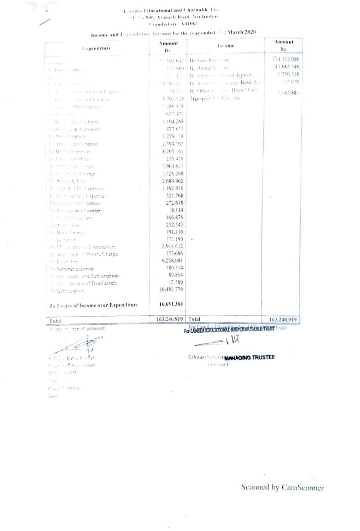## Lamika I ducational and Charitable Trs <1 No 806, Avinash Road, Neclamber  $C$ ombatori  $-541062$

| Income and I spenditure Account for the year ended STG March 2020. |  |  |  |
|--------------------------------------------------------------------|--|--|--|
|--------------------------------------------------------------------|--|--|--|

| <b>Lapenditure</b>                   | Amount<br>R. | tucume                                    | Amount<br>Rs. |
|--------------------------------------|--------------|-------------------------------------------|---------------|
| Lo Salon                             | 52.102.642   | By Lees Received                          | 114.112.086   |
| Lo Porta Lapente                     |              | 12:1960   B <sub>3</sub> Rental frit, the | 42.065.346    |
| h mar a shek                         | STA: 199     | By Interest of Fixed deposit              | 1.750.528     |
| 6. Benjamin en Team                  | 4.480.41 -   | By Interesses Community Bank Air          | 177.076       |
| 1. X air Philmotion I spense         | (1971)       | By Other Installer - Hostel Flors,        | 5,185,883     |
| ant maintenance<br>1. 8.2.           | 1703728      | Iransport 4 interniett                    |               |
| 15% Sec. Maintenance                 | 1.286.938    |                                           |               |
| The two contents.                    | 677.373      |                                           |               |
| 11 He v. and I niform                | 1.104.268    |                                           |               |
| La Printing & Stationers             | 477.653      |                                           |               |
| The Ash certification                | 1.279.118    |                                           |               |
| U. Less. Jing Fanenses               | 2.594.505    |                                           |               |
| In Hustel Expensey                   | 8.203.163    |                                           |               |
| Lo Caini littant Lees                | 230.450      |                                           |               |
| Table of Selon of Street             | 3.904.611    |                                           |               |
| In E. Hinds fi harges                | 3,526.268    |                                           |               |
| To Power & Fire!                     | 2.684.462    |                                           |               |
| Julius & LPL Expenses                | 1.492.916    |                                           |               |
| To Stuff welfare Expenses            | 521.768      |                                           |               |
| In leasended openses                 | 272,618      |                                           |               |
| The Prestage and Courter             | 18.114       |                                           |               |
| du, we done, selfare                 | 466,876      |                                           |               |
| To Andr Fees                         | 232.543      |                                           |               |
| To Bark Chartes                      | 191.110      |                                           |               |
| Li Dotation                          | 172.190      |                                           |               |
| 16 M. Lo anonia Expenditure          | 2.914.612    |                                           |               |
| To Weni ne & Anfrware Charge         | 353.686      |                                           |               |
| 15 Exam Fea                          | 6.258.081    |                                           |               |
| To Seminar expenses                  | 580.314      |                                           |               |
| The Peri Idicals and Subscriptions   | 89.804       |                                           |               |
| to the lon sale of fixed assets      | 12.589       |                                           |               |
| To Desecration                       | 30.482.779   |                                           |               |
| To Excess of Income over Expenditure | 16.651.304   |                                           |               |
| Total                                | 163.240.919  | Total                                     | 163,240,919   |

As per my report annexed

Lÿ K. P. London K. Mar. Financing Aprolantant  $92.5 - 27.456$ 

h tuto-Place<sup>12</sup> ligninar Date:

For COULT ROOCKHORNE XIVE CHARITABLE TRUST Trust

 $-1W$ 

÷,

ÿ

Eshwari Sengott MANAGING TRUSTEE (Inistae)

Scanned by CamScanner